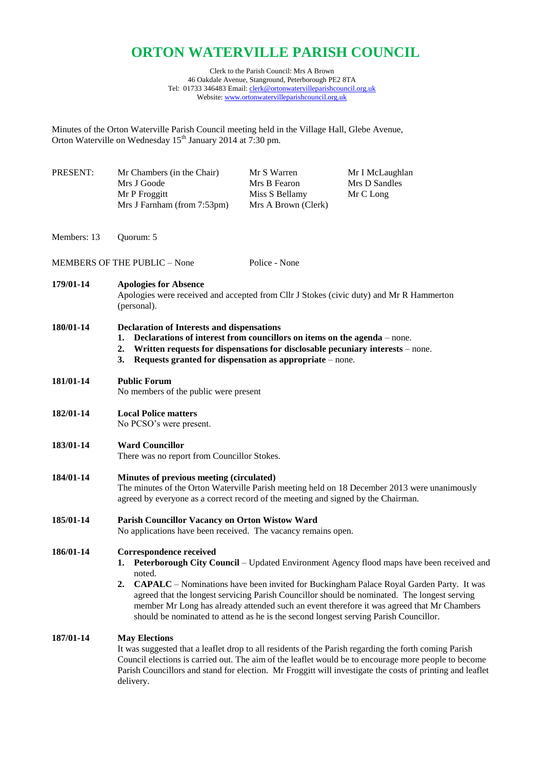# **ORTON WATERVILLE PARISH COUNCIL**

Clerk to the Parish Council: Mrs A Brown 46 Oakdale Avenue, Stanground, Peterborough PE2 8TA Tel: 01733 346483 Email[: clerk@ortonwatervilleparishcouncil.org.uk](mailto:clerk@ortonwatervilleparishcouncil.org.uk) Website: [www.ortonwatervilleparishcouncil.org.uk](http://www.ortonwatervilleparishcouncil.org.uk/)

Minutes of the Orton Waterville Parish Council meeting held in the Village Hall, Glebe Avenue, Orton Waterville on Wednesday 15<sup>th</sup> January 2014 at 7:30 pm.

| PRESENT:    | Mr Chambers (in the Chair)<br>Mrs J Goode<br>Mr P Froggitt<br>Mrs J Farnham (from 7:53pm)                                                                                                                                                                                                                                                                                                                                                                                                                                                       | Mr S Warren<br>Mrs B Fearon<br>Miss S Bellamy<br>Mrs A Brown (Clerk) | Mr I McLaughlan<br>Mrs D Sandles<br>Mr C Long                                                                                                                                                                                                                                                                              |
|-------------|-------------------------------------------------------------------------------------------------------------------------------------------------------------------------------------------------------------------------------------------------------------------------------------------------------------------------------------------------------------------------------------------------------------------------------------------------------------------------------------------------------------------------------------------------|----------------------------------------------------------------------|----------------------------------------------------------------------------------------------------------------------------------------------------------------------------------------------------------------------------------------------------------------------------------------------------------------------------|
| Members: 13 | Quorum: 5                                                                                                                                                                                                                                                                                                                                                                                                                                                                                                                                       |                                                                      |                                                                                                                                                                                                                                                                                                                            |
|             | <b>MEMBERS OF THE PUBLIC - None</b>                                                                                                                                                                                                                                                                                                                                                                                                                                                                                                             | Police - None                                                        |                                                                                                                                                                                                                                                                                                                            |
| 179/01-14   | <b>Apologies for Absence</b><br>Apologies were received and accepted from Cllr J Stokes (civic duty) and Mr R Hammerton<br>(personal).                                                                                                                                                                                                                                                                                                                                                                                                          |                                                                      |                                                                                                                                                                                                                                                                                                                            |
| 180/01-14   | <b>Declaration of Interests and dispensations</b><br>Declarations of interest from councillors on items on the agenda – none.<br>1.<br>Written requests for dispensations for disclosable pecuniary interests – none.<br>2.<br>Requests granted for dispensation as appropriate – none.<br>3.                                                                                                                                                                                                                                                   |                                                                      |                                                                                                                                                                                                                                                                                                                            |
| 181/01-14   | <b>Public Forum</b><br>No members of the public were present                                                                                                                                                                                                                                                                                                                                                                                                                                                                                    |                                                                      |                                                                                                                                                                                                                                                                                                                            |
| 182/01-14   | <b>Local Police matters</b><br>No PCSO's were present.                                                                                                                                                                                                                                                                                                                                                                                                                                                                                          |                                                                      |                                                                                                                                                                                                                                                                                                                            |
| 183/01-14   | <b>Ward Councillor</b><br>There was no report from Councillor Stokes.                                                                                                                                                                                                                                                                                                                                                                                                                                                                           |                                                                      |                                                                                                                                                                                                                                                                                                                            |
| 184/01-14   | Minutes of previous meeting (circulated)<br>The minutes of the Orton Waterville Parish meeting held on 18 December 2013 were unanimously<br>agreed by everyone as a correct record of the meeting and signed by the Chairman.                                                                                                                                                                                                                                                                                                                   |                                                                      |                                                                                                                                                                                                                                                                                                                            |
| 185/01-14   | Parish Councillor Vacancy on Orton Wistow Ward<br>No applications have been received. The vacancy remains open.                                                                                                                                                                                                                                                                                                                                                                                                                                 |                                                                      |                                                                                                                                                                                                                                                                                                                            |
| 186/01-14   | <b>Correspondence received</b><br><b>Peterborough City Council</b> – Updated Environment Agency flood maps have been received and<br>1.<br>noted.<br><b>CAPALC</b> – Nominations have been invited for Buckingham Palace Royal Garden Party. It was<br>2.<br>agreed that the longest servicing Parish Councillor should be nominated. The longest serving<br>member Mr Long has already attended such an event therefore it was agreed that Mr Chambers<br>should be nominated to attend as he is the second longest serving Parish Councillor. |                                                                      |                                                                                                                                                                                                                                                                                                                            |
| 187/01-14   | <b>May Elections</b><br>delivery.                                                                                                                                                                                                                                                                                                                                                                                                                                                                                                               |                                                                      | It was suggested that a leaflet drop to all residents of the Parish regarding the forth coming Parish<br>Council elections is carried out. The aim of the leaflet would be to encourage more people to become<br>Parish Councillors and stand for election. Mr Froggitt will investigate the costs of printing and leaflet |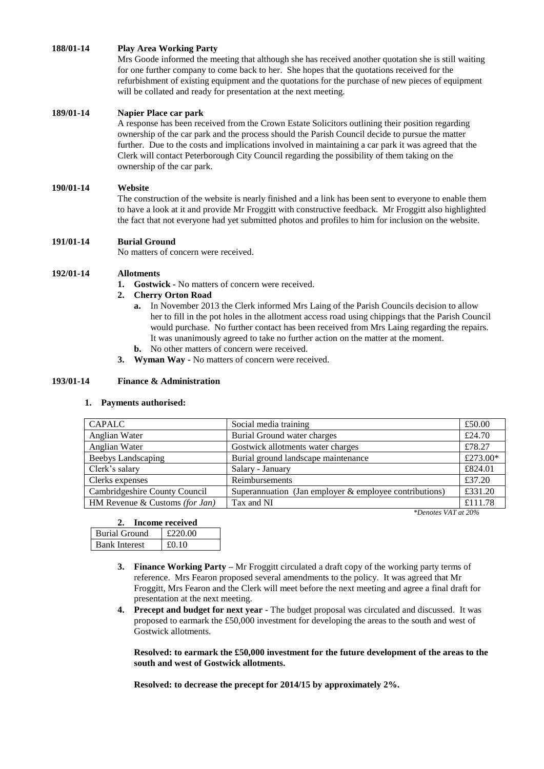## **188/01-14 Play Area Working Party**

Mrs Goode informed the meeting that although she has received another quotation she is still waiting for one further company to come back to her. She hopes that the quotations received for the refurbishment of existing equipment and the quotations for the purchase of new pieces of equipment will be collated and ready for presentation at the next meeting.

#### **189/01-14 Napier Place car park**

A response has been received from the Crown Estate Solicitors outlining their position regarding ownership of the car park and the process should the Parish Council decide to pursue the matter further. Due to the costs and implications involved in maintaining a car park it was agreed that the Clerk will contact Peterborough City Council regarding the possibility of them taking on the ownership of the car park.

#### **190/01-14 Website**

The construction of the website is nearly finished and a link has been sent to everyone to enable them to have a look at it and provide Mr Froggitt with constructive feedback. Mr Froggitt also highlighted the fact that not everyone had yet submitted photos and profiles to him for inclusion on the website.

## **191/01-14 Burial Ground**

No matters of concern were received.

## **192/01-14 Allotments**

**1. Gostwick -** No matters of concern were received.

#### **2. Cherry Orton Road**

- **a.** In November 2013 the Clerk informed Mrs Laing of the Parish Councils decision to allow her to fill in the pot holes in the allotment access road using chippings that the Parish Council would purchase. No further contact has been received from Mrs Laing regarding the repairs. It was unanimously agreed to take no further action on the matter at the moment.
- **b.** No other matters of concern were received.
- **3. Wyman Way -** No matters of concern were received.

## **193/01-14 Finance & Administration**

#### **1. Payments authorised:**

| <b>CAPALC</b>                  | Social media training                                  | £50.00   |
|--------------------------------|--------------------------------------------------------|----------|
| Anglian Water                  | Burial Ground water charges                            | £24.70   |
| Anglian Water                  | Gostwick allotments water charges                      | £78.27   |
| <b>Beebys Landscaping</b>      | Burial ground landscape maintenance                    | £273.00* |
| Clerk's salary                 | Salary - January                                       | £824.01  |
| Clerks expenses                | Reimbursements                                         | £37.20   |
| Cambridgeshire County Council  | Superannuation (Jan employer & employee contributions) | £331.20  |
| HM Revenue & Customs (for Jan) | Tax and NI                                             | £111.78  |

*\*Denotes VAT at 20%*

|                      | Income received |
|----------------------|-----------------|
| <b>Burial Ground</b> | £220.00         |
| <b>Bank Interest</b> | £0.10           |

- **3. Finance Working Party –** Mr Froggitt circulated a draft copy of the working party terms of reference. Mrs Fearon proposed several amendments to the policy. It was agreed that Mr Froggitt, Mrs Fearon and the Clerk will meet before the next meeting and agree a final draft for presentation at the next meeting.
- **4. Precept and budget for next year** *-* The budget proposal was circulated and discussed. It was proposed to earmark the £50,000 investment for developing the areas to the south and west of Gostwick allotments.

**Resolved: to earmark the £50,000 investment for the future development of the areas to the south and west of Gostwick allotments.**

**Resolved: to decrease the precept for 2014/15 by approximately 2%.**